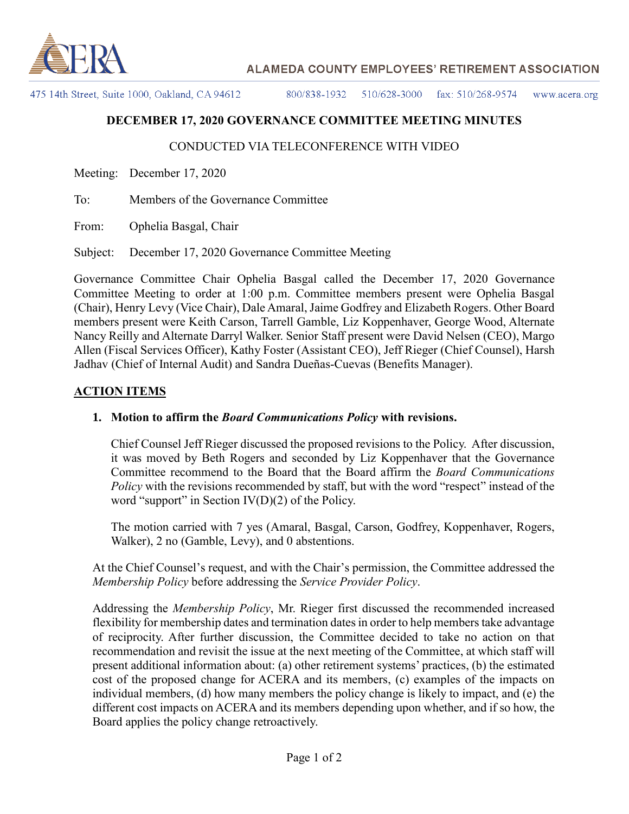

# **ALAMEDA COUNTY EMPLOYEES' RETIREMENT ASSOCIATION**

475 14th Street, Suite 1000, Oakland, CA 94612

800/838-1932 510/628-3000 fax:  $510/268-9574$ www.acera.org

# **DECEMBER 17, 2020 GOVERNANCE COMMITTEE MEETING MINUTES**

### CONDUCTED VIA TELECONFERENCE WITH VIDEO

Meeting: December 17, 2020

To: Members of the Governance Committee

From: Ophelia Basgal, Chair

Subject: December 17, 2020 Governance Committee Meeting

Governance Committee Chair Ophelia Basgal called the December 17, 2020 Governance Committee Meeting to order at 1:00 p.m. Committee members present were Ophelia Basgal (Chair), Henry Levy (Vice Chair), Dale Amaral, Jaime Godfrey and Elizabeth Rogers. Other Board members present were Keith Carson, Tarrell Gamble, Liz Koppenhaver, George Wood, Alternate Nancy Reilly and Alternate Darryl Walker. Senior Staff present were David Nelsen (CEO), Margo Allen (Fiscal Services Officer), Kathy Foster (Assistant CEO), Jeff Rieger (Chief Counsel), Harsh Jadhav (Chief of Internal Audit) and Sandra Dueñas-Cuevas (Benefits Manager).

#### **ACTION ITEMS**

#### **1. Motion to affirm the** *Board Communications Policy* **with revisions.**

Chief Counsel Jeff Rieger discussed the proposed revisions to the Policy. After discussion, it was moved by Beth Rogers and seconded by Liz Koppenhaver that the Governance Committee recommend to the Board that the Board affirm the *Board Communications Policy* with the revisions recommended by staff, but with the word "respect" instead of the word "support" in Section  $IV(D)(2)$  of the Policy.

The motion carried with 7 yes (Amaral, Basgal, Carson, Godfrey, Koppenhaver, Rogers, Walker), 2 no (Gamble, Levy), and 0 abstentions.

At the Chief Counsel's request, and with the Chair's permission, the Committee addressed the *Membership Policy* before addressing the *Service Provider Policy*.

Addressing the *Membership Policy*, Mr. Rieger first discussed the recommended increased flexibility for membership dates and termination dates in order to help members take advantage of reciprocity. After further discussion, the Committee decided to take no action on that recommendation and revisit the issue at the next meeting of the Committee, at which staff will present additional information about: (a) other retirement systems' practices, (b) the estimated cost of the proposed change for ACERA and its members, (c) examples of the impacts on individual members, (d) how many members the policy change is likely to impact, and (e) the different cost impacts on ACERA and its members depending upon whether, and if so how, the Board applies the policy change retroactively.